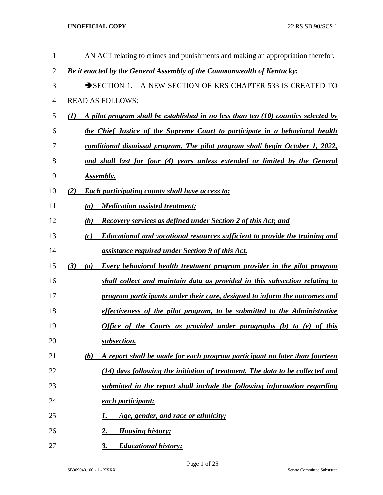| 1              | AN ACT relating to crimes and punishments and making an appropriation therefor.              |
|----------------|----------------------------------------------------------------------------------------------|
| $\overline{2}$ | Be it enacted by the General Assembly of the Commonwealth of Kentucky:                       |
| 3              | SECTION 1. A NEW SECTION OF KRS CHAPTER 533 IS CREATED TO                                    |
| $\overline{4}$ | <b>READ AS FOLLOWS:</b>                                                                      |
| 5              | A pilot program shall be established in no less than ten $(10)$ counties selected by<br>(1)  |
| 6              | the Chief Justice of the Supreme Court to participate in a behavioral health                 |
| 7              | conditional dismissal program. The pilot program shall begin October 1, 2022,                |
| 8              | and shall last for four (4) years unless extended or limited by the General                  |
| 9              | <b>Assembly.</b>                                                                             |
| 10             | <b>Each participating county shall have access to:</b><br>(2)                                |
| 11             | <b>Medication assisted treatment;</b><br>$\left(a\right)$                                    |
| 12             | <b>Recovery services as defined under Section 2 of this Act; and</b><br>(b)                  |
| 13             | <b>Educational and vocational resources sufficient to provide the training and</b><br>(c)    |
| 14             | assistance required under Section 9 of this Act.                                             |
| 15             | (3)<br><b>Every behavioral health treatment program provider in the pilot program</b><br>(a) |
| 16             | shall collect and maintain data as provided in this subsection relating to                   |
| 17             | program participants under their care, designed to inform the outcomes and                   |
| 18             | effectiveness of the pilot program, to be submitted to the Administrative                    |
| 19             | Office of the Courts as provided under paragraphs (b) to (e) of this                         |
| 20             | subsection.                                                                                  |
| 21             | A report shall be made for each program participant no later than fourteen<br>(b)            |
| 22             | (14) days following the initiation of treatment. The data to be collected and                |
| 23             | submitted in the report shall include the following information regarding                    |
| 24             | each participant:                                                                            |
| 25             | Age, gender, and race or ethnicity;<br>1.                                                    |
| 26             | <b>Housing history;</b><br>2.                                                                |
| 27             | <b>Educational history;</b><br>3.                                                            |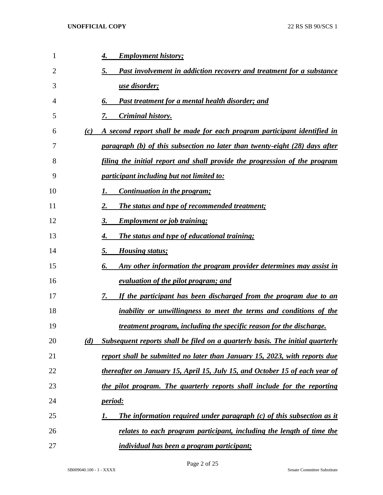| 1  | 4.  | <b>Employment history;</b>                                                    |
|----|-----|-------------------------------------------------------------------------------|
| 2  | 5.  | <b>Past involvement in addiction recovery and treatment for a substance</b>   |
| 3  |     | <u>use disorder;</u>                                                          |
| 4  | 6.  | <u>Past treatment for a mental health disorder; and</u>                       |
| 5  | 7.  | <b>Criminal history.</b>                                                      |
| 6  | (c) | A second report shall be made for each program participant identified in      |
| 7  |     | paragraph (b) of this subsection no later than twenty-eight (28) days after   |
| 8  |     | filing the initial report and shall provide the progression of the program    |
| 9  |     | <u>participant including but not limited to:</u>                              |
| 10 | 1.  | Continuation in the program;                                                  |
| 11 | 2.  | The status and type of recommended treatment;                                 |
| 12 | 3.  | <b>Employment or job training;</b>                                            |
| 13 | 4.  | <b>The status and type of educational training;</b>                           |
| 14 | 5.  | <b>Housing status;</b>                                                        |
| 15 | 6.  | Any other information the program provider determines may assist in           |
| 16 |     | <u>evaluation of the pilot program; and</u>                                   |
| 17 | 7.  | If the participant has been discharged from the program due to an             |
| 18 |     | <u>inability or unwillingness to meet the terms and conditions of the</u>     |
| 19 |     | <u>treatment program, including the specific reason for the discharge.</u>    |
| 20 | (d) | Subsequent reports shall be filed on a quarterly basis. The initial quarterly |
| 21 |     | report shall be submitted no later than January 15, 2023, with reports due    |
| 22 |     | thereafter on January 15, April 15, July 15, and October 15 of each year of   |
| 23 |     | the pilot program. The quarterly reports shall include for the reporting      |
| 24 |     | <u>period:</u>                                                                |
| 25 | 1.  | <b>The information required under paragraph (c) of this subsection as it</b>  |
| 26 |     | relates to each program participant, including the length of time the         |
| 27 |     | <i>individual has been a program participant;</i>                             |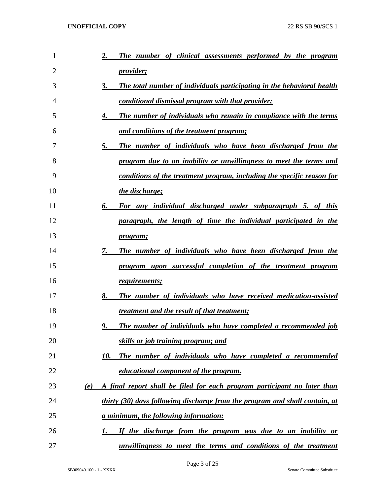| $\mathbf{1}$   |            | The number of clinical assessments performed by the program<br>2.                   |
|----------------|------------|-------------------------------------------------------------------------------------|
| $\overline{2}$ |            | <i>provider;</i>                                                                    |
| 3              |            | The total number of individuals participating in the behavioral health<br><b>3.</b> |
| 4              |            | <u>conditional dismissal program with that provider;</u>                            |
| 5              |            | The number of individuals who remain in compliance with the terms<br>4.             |
| 6              |            | and conditions of the treatment program;                                            |
| 7              |            | 5.<br>The number of individuals who have been discharged from the                   |
| 8              |            | program due to an inability or unwillingness to meet the terms and                  |
| 9              |            | conditions of the treatment program, including the specific reason for              |
| 10             |            | the discharge;                                                                      |
| 11             |            | 6.<br>For any individual discharged under subparagraph 5. of this                   |
| 12             |            | paragraph, the length of time the individual participated in the                    |
| 13             |            | <i>program</i> ;                                                                    |
| 14             |            | The number of individuals who have been discharged from the<br>7.                   |
| 15             |            | program upon successful completion of the treatment program                         |
| 16             |            | requirements;                                                                       |
| 17             |            | 8.<br>The number of individuals who have received medication-assisted               |
| 18             |            | <i>treatment and the result of that treatment;</i>                                  |
| 19             |            | 9.<br><b>The number of individuals who have completed a recommended job</b>         |
| 20             |            | <u>skills or job training program; and </u>                                         |
| 21             |            | The number of individuals who have completed a recommended<br>10.                   |
| 22             |            | <u>educational component of the program.</u>                                        |
| 23             | <u>(e)</u> | A final report shall be filed for each program participant no later than            |
| 24             |            | thirty (30) days following discharge from the program and shall contain, at         |
| 25             |            | <u>a minimum, the following information:</u>                                        |
| 26             |            | If the discharge from the program was due to an inability or<br>1.                  |
| 27             |            | unwillingness to meet the terms and conditions of the treatment                     |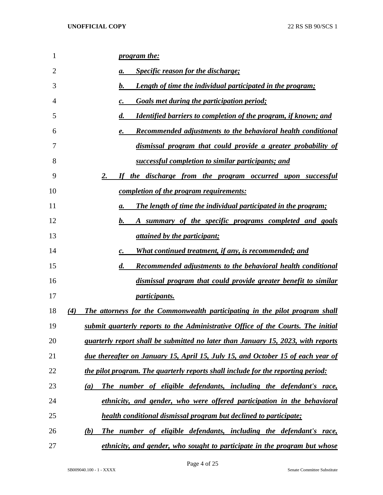| 1  | <i>program the:</i>                                                                          |
|----|----------------------------------------------------------------------------------------------|
| 2  | <b>Specific reason for the discharge;</b><br>a.                                              |
| 3  | $\bm{b}$ .<br><b>Length of time the individual participated in the program;</b>              |
| 4  | <b>Goals met during the participation period;</b><br>c.                                      |
| 5  | $\boldsymbol{d}$ .<br><b>Identified barriers to completion of the program, if known; and</b> |
| 6  | <b>Recommended adjustments to the behavioral health conditional</b><br>e.                    |
| 7  | dismissal program that could provide a greater probability of                                |
| 8  | successful completion to similar participants; and                                           |
| 9  | 2.<br>If the discharge from the program occurred upon successful                             |
| 10 | <u>completion of the program requirements:</u>                                               |
| 11 | <b>The length of time the individual participated in the program;</b><br>a.                  |
| 12 | $\boldsymbol{b}$ .<br>A summary of the specific programs completed and goals                 |
| 13 | <i>attained by the participant;</i>                                                          |
| 14 | What continued treatment, if any, is recommended; and<br>c.                                  |
| 15 | $\boldsymbol{d}$ .<br><b>Recommended adjustments to the behavioral health conditional</b>    |
| 16 | dismissal program that could provide greater benefit to similar                              |
| 17 | <i>participants.</i>                                                                         |
| 18 | (4)<br>The attorneys for the Commonwealth participating in the pilot program shall           |
| 19 | submit quarterly reports to the Administrative Office of the Courts. The initial             |
| 20 | quarterly report shall be submitted no later than January 15, 2023, with reports             |
| 21 | due thereafter on January 15, April 15, July 15, and October 15 of each year of              |
| 22 | the pilot program. The quarterly reports shall include for the reporting period:             |
| 23 | The number of eligible defendants, including the defendant's race,<br>(a)                    |
| 24 | ethnicity, and gender, who were offered participation in the behavioral                      |
| 25 | health conditional dismissal program but declined to participate;                            |
| 26 | The number of eligible defendants, including the defendant's race,<br>(b)                    |
| 27 | ethnicity, and gender, who sought to participate in the program but whose                    |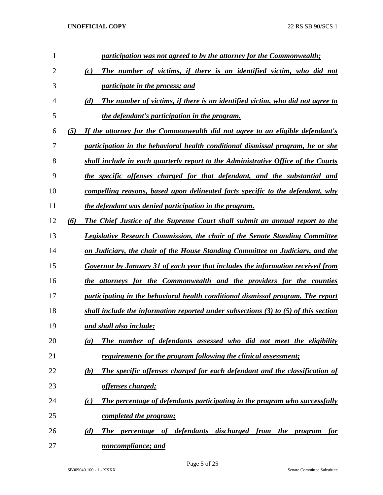| 1              |     | participation was not agreed to by the attorney for the Commonwealth;                                |
|----------------|-----|------------------------------------------------------------------------------------------------------|
| $\overline{2}$ |     | The number of victims, if there is an identified victim, who did not<br>(c)                          |
| 3              |     | <i>participate in the process; and</i>                                                               |
| 4              |     | The number of victims, if there is an identified victim, who did not agree to<br>(d)                 |
| 5              |     | the defendant's participation in the program.                                                        |
| 6              | (5) | If the attorney for the Commonwealth did not agree to an eligible defendant's                        |
| 7              |     | participation in the behavioral health conditional dismissal program, he or she                      |
| 8              |     | shall include in each quarterly report to the Administrative Office of the Courts                    |
| 9              |     | the specific offenses charged for that defendant, and the substantial and                            |
| 10             |     | compelling reasons, based upon delineated facts specific to the defendant, why                       |
| 11             |     | the defendant was denied participation in the program.                                               |
| 12             | (6) | The Chief Justice of the Supreme Court shall submit an annual report to the                          |
| 13             |     | <b>Legislative Research Commission, the chair of the Senate Standing Committee</b>                   |
| 14             |     | on Judiciary, the chair of the House Standing Committee on Judiciary, and the                        |
| 15             |     | Governor by January 31 of each year that includes the information received from                      |
| 16             |     | the attorneys for the Commonwealth and the providers for the counties                                |
| 17             |     | participating in the behavioral health conditional dismissal program. The report                     |
| 18             |     | shall include the information reported under subsections $(3)$ to $(5)$ of this section              |
| 19             |     | and shall also include:                                                                              |
| 20             |     | The number of defendants assessed who did not meet the eligibility<br>(a)                            |
| 21             |     | requirements for the program following the clinical assessment;                                      |
| 22             |     | The specific offenses charged for each defendant and the classification of<br>(b)                    |
| 23             |     | <u>offenses charged;</u>                                                                             |
| 24             |     | The percentage of defendants participating in the program who successfully<br>(c)                    |
| 25             |     | completed the program;                                                                               |
| 26             |     | percentage of defendants discharged from<br><i>the</i><br>(d)<br><b>The</b><br><u>for</u><br>program |
| 27             |     | noncompliance; and                                                                                   |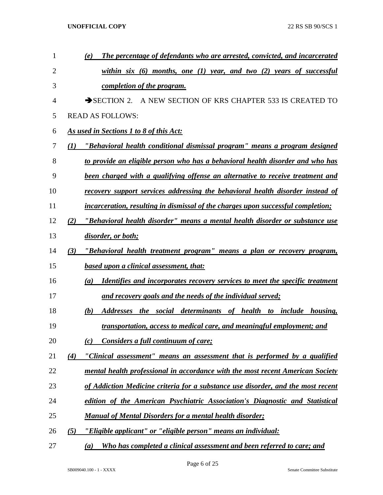| $\mathbf{1}$   |     | The percentage of defendants who are arrested, convicted, and incarcerated<br>(e)          |
|----------------|-----|--------------------------------------------------------------------------------------------|
| $\overline{2}$ |     | within six $(6)$ months, one $(1)$ year, and two $(2)$ years of successful                 |
| 3              |     | completion of the program.                                                                 |
| 4              |     | SECTION 2. A NEW SECTION OF KRS CHAPTER 533 IS CREATED TO                                  |
| 5              |     | <b>READ AS FOLLOWS:</b>                                                                    |
| 6              |     | As used in Sections 1 to 8 of this Act:                                                    |
| 7              | (I) | "Behavioral health conditional dismissal program" means a program designed                 |
| 8              |     | to provide an eligible person who has a behavioral health disorder and who has             |
| 9              |     | been charged with a qualifying offense an alternative to receive treatment and             |
| 10             |     | recovery support services addressing the behavioral health disorder instead of             |
| 11             |     | <i>incarceration, resulting in dismissal of the charges upon successful completion;</i>    |
| 12             | (2) | "Behavioral health disorder" means a mental health disorder or substance use               |
| 13             |     | disorder, or both;                                                                         |
| 14             | (3) | "Behavioral health treatment program" means a plan or recovery program,                    |
| 15             |     | <b>based upon a clinical assessment, that:</b>                                             |
| 16             |     | <b>Identifies and incorporates recovery services to meet the specific treatment</b><br>(a) |
| 17             |     | and recovery goals and the needs of the individual served;                                 |
| 18             |     | (b)<br>Addresses the social determinants of health to include housing,                     |
| 19             |     | transportation, access to medical care, and meaningful employment; and                     |
| 20             |     | Considers a full continuum of care;<br>(c)                                                 |
| 21             | (4) | "Clinical assessment" means an assessment that is performed by a qualified                 |
| 22             |     | mental health professional in accordance with the most recent American Society             |
| 23             |     | of Addiction Medicine criteria for a substance use disorder, and the most recent           |
| 24             |     | edition of the American Psychiatric Association's Diagnostic and Statistical               |
| 25             |     | <b>Manual of Mental Disorders for a mental health disorder;</b>                            |
| 26             | (5) | "Eligible applicant" or "eligible person" means an individual:                             |
| 27             |     | Who has completed a clinical assessment and been referred to care; and<br>(a)              |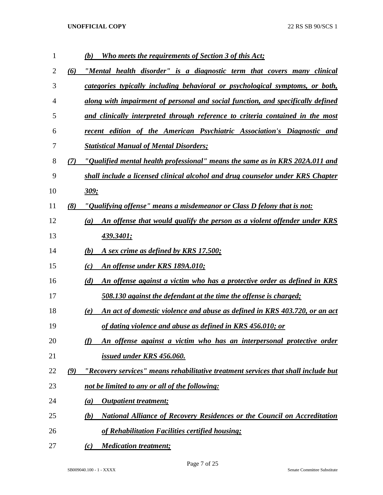| $\mathbf{1}$ |     | <b>Who meets the requirements of Section 3 of this Act;</b><br>(b)                     |
|--------------|-----|----------------------------------------------------------------------------------------|
| 2            | (6) | "Mental health disorder" is a diagnostic term that covers many clinical                |
| 3            |     | categories typically including behavioral or psychological symptoms, or both,          |
| 4            |     | along with impairment of personal and social function, and specifically defined        |
| 5            |     | and clinically interpreted through reference to criteria contained in the most         |
| 6            |     | recent edition of the American Psychiatric Association's Diagnostic and                |
| 7            |     | <b>Statistical Manual of Mental Disorders;</b>                                         |
| 8            | (7) | "Qualified mental health professional" means the same as in KRS 202A.011 and           |
| 9            |     | shall include a licensed clinical alcohol and drug counselor under KRS Chapter         |
| 10           |     | 309:                                                                                   |
| 11           | (8) | "Qualifying offense" means a misdemeanor or Class D felony that is not:                |
| 12           |     | An offense that would qualify the person as a violent offender under KRS<br>(a)        |
| 13           |     | 439.3401;                                                                              |
| 14           |     | (b)<br>A sex crime as defined by KRS 17.500;                                           |
| 15           |     | <b>An offense under KRS 189A.010;</b><br>(c)                                           |
| 16           |     | (d)<br><u>An offense against a victim who has a protective order as defined in KRS</u> |
| 17           |     | 508.130 against the defendant at the time the offense is charged;                      |
| 18           |     | An act of domestic violence and abuse as defined in KRS 403.720, or an act<br>(e)      |
| 19           |     | of dating violence and abuse as defined in KRS 456.010; or                             |
| 20           |     | (f)<br>An offense against a victim who has an interpersonal protective order           |
| 21           |     | issued under KRS 456.060.                                                              |
| 22           | (9) | "Recovery services" means rehabilitative treatment services that shall include but     |
| 23           |     | not be limited to any or all of the following:                                         |
| 24           |     | <b>Outpatient treatment;</b><br>(a)                                                    |
| 25           |     | <b>National Alliance of Recovery Residences or the Council on Accreditation</b><br>(b) |
| 26           |     | of Rehabilitation Facilities certified housing;                                        |
| 27           |     | <b>Medication treatment;</b><br>(c)                                                    |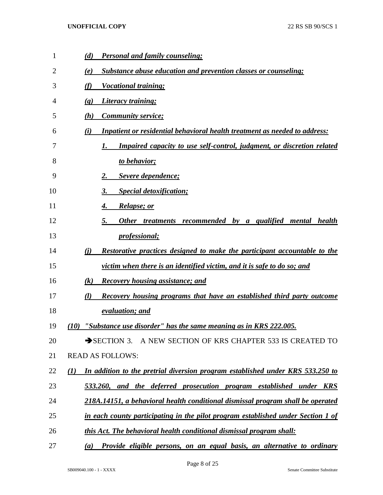| $\mathbf{1}$ | <b>Personal and family counseling;</b><br>(d)                                                      |
|--------------|----------------------------------------------------------------------------------------------------|
| 2            | <b>Substance abuse education and prevention classes or counseling;</b><br>(e)                      |
| 3            | (f)<br><u>Vocational training;</u>                                                                 |
| 4            | <u>Literacy training;</u><br>$\left( \mathbf{g} \right)$                                           |
| 5            | <b>Community service;</b><br>(h)                                                                   |
| 6            | <b>Inpatient or residential behavioral health treatment as needed to address:</b><br>(i)           |
| 7            | <b>Impaired capacity to use self-control, judgment, or discretion related</b><br>I.                |
| 8            | to behavior;                                                                                       |
| 9            | Severe dependence;<br>2.                                                                           |
| 10           | <b>Special detoxification;</b><br>3.                                                               |
| 11           | <b>Relapse; or</b><br>4.                                                                           |
| 12           | Other treatments recommended by a qualified<br>5.<br>mental health                                 |
| 13           | <i>professional</i> ;                                                                              |
| 14           | Restorative practices designed to make the participant accountable to the<br>(i)                   |
| 15           | victim when there is an identified victim, and it is safe to do so; and                            |
| 16           | (k)<br><b>Recovery housing assistance; and</b>                                                     |
| 17           | Recovery housing programs that have an established third party outcome<br>(l)                      |
| 18           | evaluation; and                                                                                    |
| 19           | "Substance use disorder" has the same meaning as in KRS 222.005.<br>(10)                           |
| 20           | SECTION 3. A NEW SECTION OF KRS CHAPTER 533 IS CREATED TO                                          |
| 21           | <b>READ AS FOLLOWS:</b>                                                                            |
| 22           | In addition to the pretrial diversion program established under KRS 533.250 to<br>$\mathcal{L}(I)$ |
| 23           | 533.260, and the deferred prosecution program established under KRS                                |
| 24           | 218A.14151, a behavioral health conditional dismissal program shall be operated                    |
| 25           | in each county participating in the pilot program established under Section 1 of                   |
| 26           | this Act. The behavioral health conditional dismissal program shall:                               |
| 27           | Provide eligible persons, on an equal basis, an alternative to ordinary<br>(a)                     |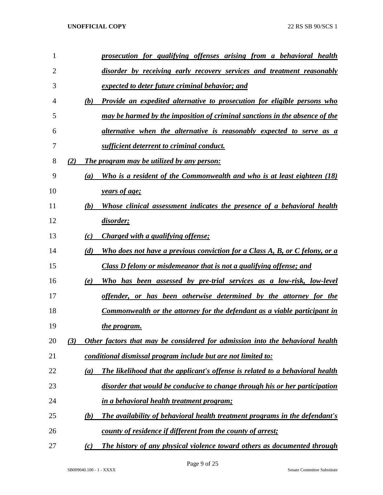| $\mathbf{1}$   |     | prosecution for qualifying offenses arising from a behavioral health               |
|----------------|-----|------------------------------------------------------------------------------------|
| $\overline{2}$ |     | disorder by receiving early recovery services and treatment reasonably             |
| 3              |     | expected to deter future criminal behavior; and                                    |
| 4              | (b) | <b>Provide an expedited alternative to prosecution for eligible persons who</b>    |
| 5              |     | may be harmed by the imposition of criminal sanctions in the absence of the        |
| 6              |     | alternative when the alternative is reasonably expected to serve as a              |
| 7              |     | sufficient deterrent to criminal conduct.                                          |
| 8              | (2) | <b>The program may be utilized by any person:</b>                                  |
| 9              | (a) | Who is a resident of the Commonwealth and who is at least eighteen (18)            |
| 10             |     | <i><u><b>years of age;</b></u></i>                                                 |
| 11             | (b) | Whose clinical assessment indicates the presence of a behavioral health            |
| 12             |     | disorder;                                                                          |
| 13             | (c) | <i>Charged with a qualifying offense;</i>                                          |
| 14             | (d) | Who does not have a previous conviction for a Class A, B, or C felony, or a        |
| 15             |     | Class D felony or misdemeanor that is not a qualifying offense; and                |
| 16             | (e) | Who has been assessed by pre-trial services as a low-risk, low-level               |
| 17             |     | offender, or has been otherwise determined by the attorney for the                 |
| 18             |     | Commonwealth or the attorney for the defendant as a viable participant in          |
| 19             |     | the program.                                                                       |
| 20             | (3) | Other factors that may be considered for admission into the behavioral health      |
| 21             |     | <u>conditional dismissal program include but are not limited to:</u>               |
| 22             | (a) | The likelihood that the applicant's offense is related to a behavioral health      |
| 23             |     | disorder that would be conducive to change through his or her participation        |
| 24             |     | <i>in a behavioral health treatment program;</i>                                   |
| 25             | (b) | <b>The availability of behavioral health treatment programs in the defendant's</b> |
| 26             |     | <u>county of residence if different from the county of arrest;</u>                 |
| 27             | (c) | The history of any physical violence toward others as documented through           |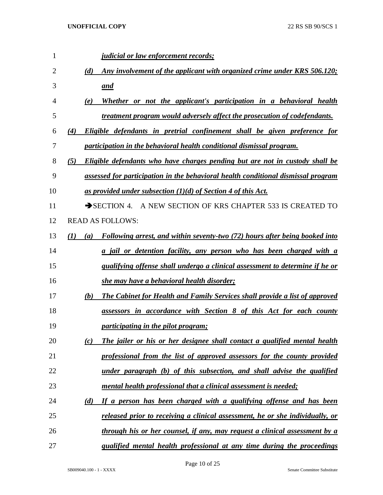| 1  |     | <i>judicial or law enforcement records;</i>                                         |
|----|-----|-------------------------------------------------------------------------------------|
| 2  |     | Any involvement of the applicant with organized crime under KRS 506.120;<br>(d)     |
| 3  |     | and                                                                                 |
| 4  |     | Whether or not the applicant's participation in a behavioral health<br>(e)          |
| 5  |     | treatment program would adversely affect the prosecution of codefendants.           |
| 6  | (4) | Eligible defendants in pretrial confinement shall be given preference for           |
| 7  |     | participation in the behavioral health conditional dismissal program.               |
| 8  | (5) | Eligible defendants who have charges pending but are not in custody shall be        |
| 9  |     | assessed for participation in the behavioral health conditional dismissal program   |
| 10 |     | as provided under subsection $(1)(d)$ of Section 4 of this Act.                     |
| 11 |     | SECTION 4. A NEW SECTION OF KRS CHAPTER 533 IS CREATED TO                           |
| 12 |     | <b>READ AS FOLLOWS:</b>                                                             |
| 13 | (I) | Following arrest, and within seventy-two (72) hours after being booked into<br>(a)  |
| 14 |     | a jail or detention facility, any person who has been charged with a                |
| 15 |     | <i>qualifying offense shall undergo a clinical assessment to determine if he or</i> |
| 16 |     | she may have a behavioral health disorder;                                          |
| 17 |     | The Cabinet for Health and Family Services shall provide a list of approved<br>(b)  |
| 18 |     | assessors in accordance with Section 8 of this Act for each county                  |
| 19 |     | participating in the pilot program;                                                 |
| 20 |     | The jailer or his or her designee shall contact a qualified mental health<br>(c)    |
| 21 |     | professional from the list of approved assessors for the county provided            |
| 22 |     | under paragraph (b) of this subsection, and shall advise the qualified              |
| 23 |     | mental health professional that a clinical assessment is needed;                    |
| 24 |     | If a person has been charged with a qualifying offense and has been<br>(d)          |
| 25 |     | released prior to receiving a clinical assessment, he or she individually, or       |
| 26 |     | through his or her counsel, if any, may request a clinical assessment by a          |
| 27 |     | qualified mental health professional at any time during the proceedings             |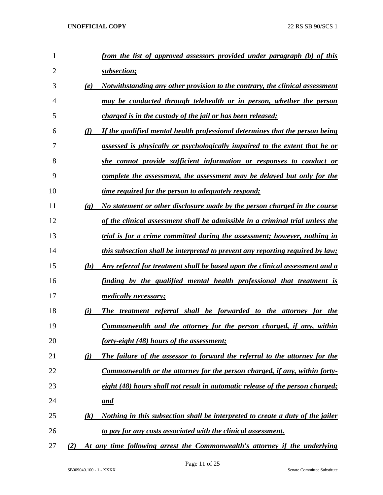| 1              |                             | from the list of approved assessors provided under paragraph (b) of this              |
|----------------|-----------------------------|---------------------------------------------------------------------------------------|
| $\overline{2}$ |                             | subsection;                                                                           |
| 3              | (e)                         | <u>Notwithstanding any other provision to the contrary, the clinical assessment</u>   |
| 4              |                             | may be conducted through telehealth or in person, whether the person                  |
| 5              |                             | <i>charged is in the custody of the jail or has been released;</i>                    |
| 6              | (f)                         | If the qualified mental health professional determines that the person being          |
| 7              |                             | assessed is physically or psychologically impaired to the extent that he or           |
| 8              |                             | she cannot provide sufficient information or responses to conduct or                  |
| 9              |                             | <u>complete the assessment, the assessment may be delayed but only for the</u>        |
| 10             |                             | <u>time required for the person to adequately respond;</u>                            |
| 11             | $\left( \mathbf{g} \right)$ | No statement or other disclosure made by the person charged in the course             |
| 12             |                             | of the clinical assessment shall be admissible in a criminal trial unless the         |
| 13             |                             | trial is for a crime committed during the assessment; however, nothing in             |
| 14             |                             | this subsection shall be interpreted to prevent any reporting required by law;        |
| 15             | (h)                         | Any referral for treatment shall be based upon the clinical assessment and a          |
| 16             |                             | finding by the qualified mental health professional that treatment is                 |
| 17             |                             | <i>medically necessary;</i>                                                           |
| 18             | (i)                         | The treatment referral shall be forwarded to the attorney for the                     |
| 19             |                             | <b>Commonwealth and the attorney for the person charged, if any, within</b>           |
| 20             |                             | forty-eight (48) hours of the assessment;                                             |
| 21             | $\bf(i)$                    | The failure of the assessor to forward the referral to the attorney for the           |
| 22             |                             | Commonwealth or the attorney for the person charged, if any, within forty-            |
| 23             |                             | eight (48) hours shall not result in automatic release of the person charged;         |
| 24             |                             | <u>and</u>                                                                            |
| 25             | (k)                         | <u>Nothing in this subsection shall be interpreted to create a duty of the jailer</u> |
| 26             |                             | to pay for any costs associated with the clinical assessment.                         |
| 27             | (2)                         | At any time following arrest the Commonwealth's attorney if the underlying            |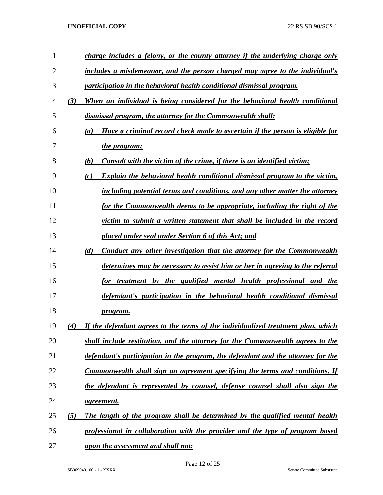| 1              |     | charge includes a felony, or the county attorney if the underlying charge only           |
|----------------|-----|------------------------------------------------------------------------------------------|
| $\overline{2}$ |     | includes a misdemeanor, and the person charged may agree to the individual's             |
| 3              |     | participation in the behavioral health conditional dismissal program.                    |
| 4              | (3) | When an individual is being considered for the behavioral health conditional             |
| 5              |     | dismissal program, the attorney for the Commonwealth shall:                              |
| 6              |     | Have a criminal record check made to ascertain if the person is eligible for<br>(a)      |
| 7              |     | the program;                                                                             |
| 8              |     | Consult with the victim of the crime, if there is an identified victim;<br>(b)           |
| 9              |     | <b>Explain the behavioral health conditional dismissal program to the victim,</b><br>(c) |
| 10             |     | including potential terms and conditions, and any other matter the attorney              |
| 11             |     | for the Commonwealth deems to be appropriate, including the right of the                 |
| 12             |     | victim to submit a written statement that shall be included in the record                |
| 13             |     | placed under seal under Section 6 of this Act; and                                       |
| 14             |     | Conduct any other investigation that the attorney for the Commonwealth<br>(d)            |
| 15             |     | determines may be necessary to assist him or her in agreeing to the referral             |
| 16             |     | for treatment by the qualified mental health professional and the                        |
| 17             |     | defendant's participation in the behavioral health conditional dismissal                 |
| 18             |     | program.                                                                                 |
| 19             | (4) | If the defendant agrees to the terms of the individualized treatment plan, which         |
| 20             |     | shall include restitution, and the attorney for the Commonwealth agrees to the           |
| 21             |     | defendant's participation in the program, the defendant and the attorney for the         |
| 22             |     | Commonwealth shall sign an agreement specifying the terms and conditions. If             |
| 23             |     | the defendant is represented by counsel, defense counsel shall also sign the             |
| 24             |     | <i>agreement.</i>                                                                        |
| 25             | (5) | The length of the program shall be determined by the qualified mental health             |
| 26             |     | professional in collaboration with the provider and the type of program based            |
| 27             |     | upon the assessment and shall not:                                                       |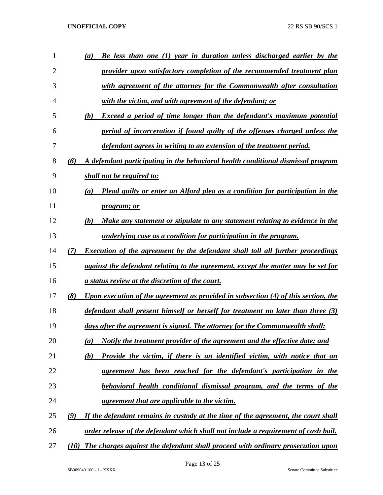| 1  | (a)  | Be less than one (1) year in duration unless discharged earlier by the                  |
|----|------|-----------------------------------------------------------------------------------------|
| 2  |      | provider upon satisfactory completion of the recommended treatment plan                 |
| 3  |      | with agreement of the attorney for the Commonwealth after consultation                  |
| 4  |      | with the victim, and with agreement of the defendant; or                                |
| 5  | (b)  | <b>Exceed a period of time longer than the defendant's maximum potential</b>            |
| 6  |      | period of incarceration if found guilty of the offenses charged unless the              |
| 7  |      | defendant agrees in writing to an extension of the treatment period.                    |
| 8  | (6)  | A defendant participating in the behavioral health conditional dismissal program        |
| 9  |      | shall not be required to:                                                               |
| 10 | (a)  | <b>Plead guilty or enter an Alford plea as a condition for participation in the</b>     |
| 11 |      | <i>program; or</i>                                                                      |
| 12 | (b)  | <u>Make any statement or stipulate to any statement relating to evidence in the</u>     |
| 13 |      | underlying case as a condition for participation in the program.                        |
| 14 | (7)  | <b>Execution of the agreement by the defendant shall toll all further proceedings</b>   |
| 15 |      | against the defendant relating to the agreement, except the matter may be set for       |
| 16 |      | <u>a status review at the discretion of the court.</u>                                  |
| 17 | (8)  | Upon execution of the agreement as provided in subsection (4) of this section, the      |
| 18 |      | <u>defendant shall present himself or herself for treatment no later than three (3)</u> |
| 19 |      | days after the agreement is signed. The attorney for the Commonwealth shall:            |
| 20 | (a)  | Notify the treatment provider of the agreement and the effective date; and              |
| 21 | (b)  | Provide the victim, if there is an identified victim, with notice that an               |
| 22 |      | agreement has been reached for the defendant's participation in the                     |
| 23 |      | behavioral health conditional dismissal program, and the terms of the                   |
| 24 |      | agreement that are applicable to the victim.                                            |
| 25 | (9)  | If the defendant remains in custody at the time of the agreement, the court shall       |
| 26 |      | order release of the defendant which shall not include a requirement of cash bail.      |
| 27 | (10) | The charges against the defendant shall proceed with ordinary prosecution upon          |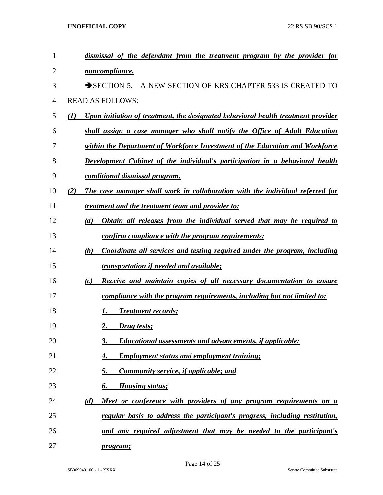| 1  | dismissal of the defendant from the treatment program by the provider for                |
|----|------------------------------------------------------------------------------------------|
| 2  | noncompliance.                                                                           |
| 3  | SECTION 5. A NEW SECTION OF KRS CHAPTER 533 IS CREATED TO                                |
| 4  | <b>READ AS FOLLOWS:</b>                                                                  |
| 5  | Upon initiation of treatment, the designated behavioral health treatment provider<br>(I) |
| 6  | shall assign a case manager who shall notify the Office of Adult Education               |
| 7  | within the Department of Workforce Investment of the Education and Workforce             |
| 8  | <b>Development Cabinet of the individual's participation in a behavioral health</b>      |
| 9  | conditional dismissal program.                                                           |
| 10 | The case manager shall work in collaboration with the individual referred for<br>(2)     |
| 11 | <i>treatment and the treatment team and provider to:</i>                                 |
| 12 | Obtain all releases from the individual served that may be required to<br>(a)            |
| 13 | <u>confirm compliance with the program requirements;</u>                                 |
| 14 | Coordinate all services and testing required under the program, including<br>(b)         |
| 15 | transportation if needed and available;                                                  |
| 16 | Receive and maintain copies of all necessary documentation to ensure<br>(c)              |
| 17 | compliance with the program requirements, including but not limited to:                  |
| 18 | <b>Treatment records;</b>                                                                |
| 19 | 2.<br>Drug tests;                                                                        |
| 20 | Educational assessments and advancements, if applicable;<br>3.                           |
| 21 | <b>Employment status and employment training;</b><br>4.                                  |
| 22 | <b>Community service, if applicable; and</b><br><u>5.</u>                                |
| 23 | <b>Housing status;</b><br>6.                                                             |
| 24 | (d)<br>Meet or conference with providers of any program requirements on a                |
| 25 | regular basis to address the participant's progress, including restitution,              |
| 26 | and any required adjustment that may be needed to the participant's                      |
| 27 | program;                                                                                 |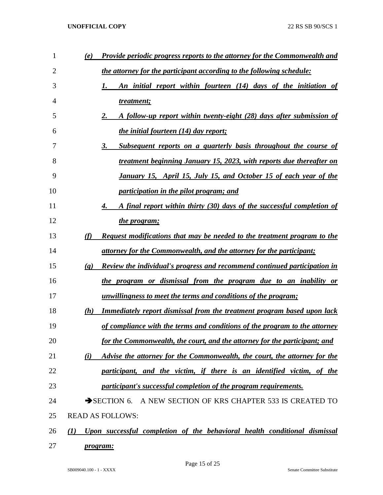| 1  | (e)                         | <b>Provide periodic progress reports to the attorney for the Commonwealth and</b> |
|----|-----------------------------|-----------------------------------------------------------------------------------|
| 2  |                             | the attorney for the participant according to the following schedule:             |
| 3  |                             | An initial report within fourteen (14) days of the initiation of<br>1.            |
| 4  |                             | treatment;                                                                        |
| 5  |                             | A follow-up report within twenty-eight (28) days after submission of<br>2.        |
| 6  |                             | <i>the initial fourteen (14) day report;</i>                                      |
| 7  |                             | <u>Subsequent reports on a quarterly basis throughout the course of</u><br>3.     |
| 8  |                             | treatment beginning January 15, 2023, with reports due thereafter on              |
| 9  |                             | January 15, April 15, July 15, and October 15 of each year of the                 |
| 10 |                             | participation in the pilot program; and                                           |
| 11 |                             | A final report within thirty (30) days of the successful completion of<br>4.      |
| 12 |                             | the program;                                                                      |
| 13 | (f)                         | Request modifications that may be needed to the treatment program to the          |
| 14 |                             | attorney for the Commonwealth, and the attorney for the participant;              |
| 15 | $\left( \mathbf{g} \right)$ | Review the individual's progress and recommend continued participation in         |
| 16 |                             | the program or dismissal from the program due to an inability or                  |
| 17 |                             | unwillingness to meet the terms and conditions of the program;                    |
| 18 | (h)                         | Immediately report dismissal from the treatment program based upon lack           |
| 19 |                             | of compliance with the terms and conditions of the program to the attorney        |
| 20 |                             | for the Commonwealth, the court, and the attorney for the participant; and        |
| 21 | (i)                         | Advise the attorney for the Commonwealth, the court, the attorney for the         |
| 22 |                             | participant, and the victim, if there is an identified victim, of the             |
| 23 |                             | participant's successful completion of the program requirements.                  |
| 24 |                             | $\rightarrow$ SECTION 6.<br>A NEW SECTION OF KRS CHAPTER 533 IS CREATED TO        |
| 25 |                             | <b>READ AS FOLLOWS:</b>                                                           |
| 26 | (I)                         | Upon successful completion of the behavioral health conditional dismissal         |
| 27 |                             | program:                                                                          |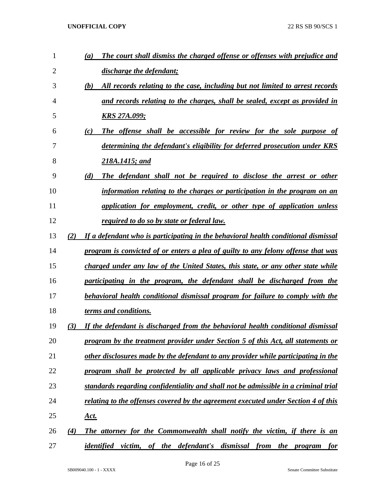| 1              |     | The court shall dismiss the charged offense or offenses with prejudice and<br>(a)    |
|----------------|-----|--------------------------------------------------------------------------------------|
| $\overline{2}$ |     | discharge the defendant;                                                             |
| 3              |     | (b)<br>All records relating to the case, including but not limited to arrest records |
| 4              |     | and records relating to the charges, shall be sealed, except as provided in          |
| 5              |     | <b>KRS 27A.099;</b>                                                                  |
| 6              |     | (c)<br>The offense shall be accessible for review for the sole purpose of            |
| 7              |     | determining the defendant's eligibility for deferred prosecution under KRS           |
| 8              |     | 218A.1415; and                                                                       |
| 9              |     | (d)<br>The defendant shall not be required to disclose the arrest or other           |
| 10             |     | information relating to the charges or participation in the program on an            |
| 11             |     | application for employment, credit, or other type of application unless              |
| 12             |     | <i>required to do so by state or federal law.</i>                                    |
| 13             | (2) | If a defendant who is participating in the behavioral health conditional dismissal   |
| 14             |     | program is convicted of or enters a plea of guilty to any felony offense that was    |
| 15             |     | charged under any law of the United States, this state, or any other state while     |
| 16             |     | participating in the program, the defendant shall be discharged from the             |
| 17             |     | behavioral health conditional dismissal program for failure to comply with the       |
| 18             |     | terms and conditions.                                                                |
| 19             | (3) | If the defendant is discharged from the behavioral health conditional dismissal      |
| 20             |     | program by the treatment provider under Section 5 of this Act, all statements or     |
| 21             |     | other disclosures made by the defendant to any provider while participating in the   |
| 22             |     | program shall be protected by all applicable privacy laws and professional           |
| 23             |     | standards regarding confidentiality and shall not be admissible in a criminal trial  |
| 24             |     | relating to the offenses covered by the agreement executed under Section 4 of this   |
| 25             |     | <u>Act.</u>                                                                          |
| 26             | (4) | The attorney for the Commonwealth shall notify the victim, if there is an            |
| 27             |     | <i>identified victim, of the defendant's dismissal from the program</i><br>for       |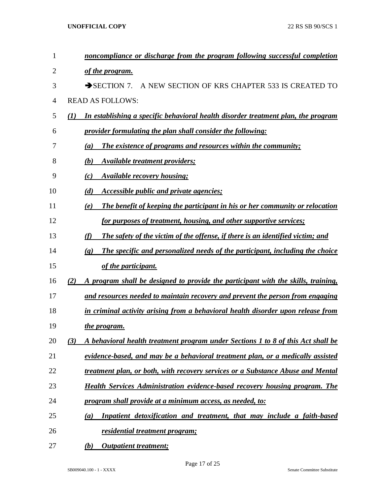| 1  | noncompliance or discharge from the program following successful completion                                 |
|----|-------------------------------------------------------------------------------------------------------------|
| 2  | of the program.                                                                                             |
| 3  | A NEW SECTION OF KRS CHAPTER 533 IS CREATED TO<br>$\rightarrow$ SECTION 7.                                  |
| 4  | <b>READ AS FOLLOWS:</b>                                                                                     |
| 5  | In establishing a specific behavioral health disorder treatment plan, the program<br>$\mathbf{U}$           |
| 6  | provider formulating the plan shall consider the following:                                                 |
| 7  | The existence of programs and resources within the community;<br>(a)                                        |
| 8  | (b)<br>Available treatment providers;                                                                       |
| 9  | <b>Available recovery housing;</b><br>(c)                                                                   |
| 10 | Accessible public and private agencies;<br>(d)                                                              |
| 11 | The benefit of keeping the participant in his or her community or relocation<br>(e)                         |
| 12 | for purposes of treatment, housing, and other supportive services;                                          |
| 13 | The safety of the victim of the offense, if there is an identified victim; and<br>(f)                       |
| 14 | The specific and personalized needs of the participant, including the choice<br>$\left( \mathbf{g} \right)$ |
| 15 | of the participant.                                                                                         |
| 16 | A program shall be designed to provide the participant with the skills, training,<br>(2)                    |
| 17 | and resources needed to maintain recovery and prevent the person from engaging                              |
| 18 | in criminal activity arising from a behavioral health disorder upon release from                            |
| 19 | the program.                                                                                                |
| 20 | (3)<br>A behavioral health treatment program under Sections 1 to 8 of this Act shall be                     |
| 21 | evidence-based, and may be a behavioral treatment plan, or a medically assisted                             |
| 22 | treatment plan, or both, with recovery services or a Substance Abuse and Mental                             |
| 23 | <b>Health Services Administration evidence-based recovery housing program. The</b>                          |
| 24 | program shall provide at a minimum access, as needed, to:                                                   |
| 25 | Inpatient detoxification and treatment, that may include a faith-based<br>$\left(a\right)$                  |
| 26 | residential treatment program;                                                                              |
| 27 | <b>Outpatient treatment;</b><br>(b)                                                                         |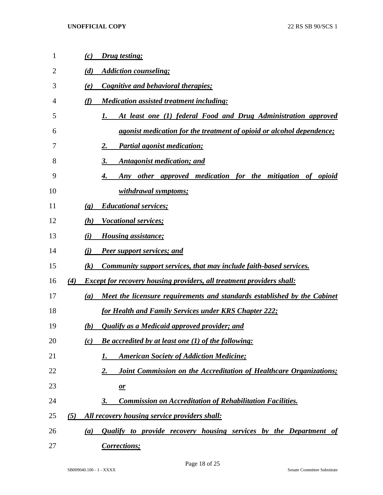| $\mathbf{1}$ |     | (c)<br>Drug testing;                                                            |
|--------------|-----|---------------------------------------------------------------------------------|
| 2            |     | (d)<br><b>Addiction counseling;</b>                                             |
| 3            |     | Cognitive and behavioral therapies;<br>(e)                                      |
| 4            |     | (f)<br><b>Medication assisted treatment including:</b>                          |
| 5            |     | At least one (1) federal Food and Drug Administration approved<br>1.            |
| 6            |     | <i>agonist medication for the treatment of opioid or alcohol dependence;</i>    |
| 7            |     | <b>Partial agonist medication;</b><br>2.                                        |
| 8            |     | <b>Antagonist medication; and</b><br>3.                                         |
| 9            |     | Any other approved medication for the mitigation of opioid<br>4.                |
| 10           |     | withdrawal symptoms;                                                            |
| 11           |     | <b>Educational services;</b><br>$\left( \mathbf{g} \right)$                     |
| 12           |     | <b>Vocational services;</b><br>(h)                                              |
| 13           |     | (i)<br><b>Housing assistance;</b>                                               |
| 14           |     | (i)<br><b>Peer support services; and</b>                                        |
| 15           |     | Community support services, that may include faith-based services.<br>(k)       |
| 16           | (4) | <b>Except for recovery housing providers, all treatment providers shall:</b>    |
| 17           |     | Meet the licensure requirements and standards established by the Cabinet<br>(a) |
| 18           |     | for Health and Family Services under KRS Chapter 222;                           |
| 19           |     | (b)<br><b>Qualify as a Medicaid approved provider; and</b>                      |
| 20           |     | <b>Be accredited by at least one (1) of the following:</b><br>(c)               |
| 21           |     | <b>American Society of Addiction Medicine;</b><br>1.                            |
| 22           |     | 2.<br>Joint Commission on the Accreditation of Healthcare Organizations;        |
| 23           |     | $\mathbf{\underline{\mathit{or}}}$                                              |
| 24           |     | <b>Commission on Accreditation of Rehabilitation Facilities.</b><br>3.          |
| 25           | (5) | All recovery housing service providers shall:                                   |
| 26           |     | <b>Qualify to provide recovery housing services by the Department of</b><br>(a) |
| 27           |     | Corrections;                                                                    |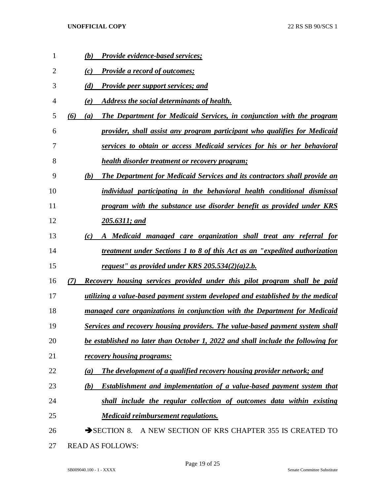| 1              | (b)<br><b>Provide evidence-based services;</b>                                          |
|----------------|-----------------------------------------------------------------------------------------|
| $\overline{2}$ | <b>Provide a record of outcomes;</b><br>(c)                                             |
| 3              | (d)<br><b>Provide peer support services; and</b>                                        |
| 4              | Address the social determinants of health.<br>(e)                                       |
| 5              | (6)<br>The Department for Medicaid Services, in conjunction with the program<br>(a)     |
| 6              | provider, shall assist any program participant who qualifies for Medicaid               |
| 7              | services to obtain or access Medicaid services for his or her behavioral                |
| 8              | health disorder treatment or recovery program;                                          |
| 9              | (b)<br><b>The Department for Medicaid Services and its contractors shall provide an</b> |
| 10             | individual participating in the behavioral health conditional dismissal                 |
| 11             | program with the substance use disorder benefit as provided under KRS                   |
| 12             | 205.6311; and                                                                           |
| 13             | A Medicaid managed care organization shall treat any referral for<br>(c)                |
| 14             | treatment under Sections 1 to 8 of this Act as an "expedited authorization"             |
| 15             | request" as provided under KRS $205.534(2)(a)2.b.$                                      |
| 16             | (7)<br>Recovery housing services provided under this pilot program shall be paid        |
| 17             | utilizing a value-based payment system developed and established by the medical         |
| 18             | managed care organizations in conjunction with the Department for Medicaid              |
| 19             | Services and recovery housing providers. The value-based payment system shall           |
| 20             | be established no later than October 1, 2022 and shall include the following for        |
| 21             | <u>recovery housing programs:</u>                                                       |
| 22             | The development of a qualified recovery housing provider network; and<br>(a)            |
| 23             | <b>Establishment and implementation of a value-based payment system that</b><br>(b)     |
| 24             | shall include the regular collection of outcomes data within existing                   |
| 25             | <b>Medicaid reimbursement regulations.</b>                                              |
| 26             | SECTION 8. A NEW SECTION OF KRS CHAPTER 355 IS CREATED TO                               |
| 27             | <b>READ AS FOLLOWS:</b>                                                                 |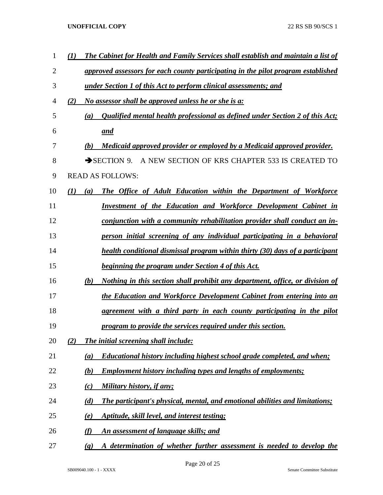| 1              | $\bf(1)$                   | The Cabinet for Health and Family Services shall establish and maintain a list of |
|----------------|----------------------------|-----------------------------------------------------------------------------------|
| $\overline{2}$ |                            | approved assessors for each county participating in the pilot program established |
| 3              |                            | under Section 1 of this Act to perform clinical assessments; and                  |
| 4              | (2)                        | <i>No assessor shall be approved unless he or she is a:</i>                       |
| 5              | (a)                        | Qualified mental health professional as defined under Section 2 of this Act;      |
| 6              |                            | and                                                                               |
| 7              | (b)                        | Medicaid approved provider or employed by a Medicaid approved provider.           |
| 8              |                            | $\rightarrow$ SECTION 9.<br>A NEW SECTION OF KRS CHAPTER 533 IS CREATED TO        |
| 9              |                            | <b>READ AS FOLLOWS:</b>                                                           |
| 10             | (I)<br>(a)                 | The Office of Adult Education within the Department of Workforce                  |
| 11             |                            | Investment of the Education and Workforce Development Cabinet in                  |
| 12             |                            | conjunction with a community rehabilitation provider shall conduct an in-         |
| 13             |                            | person initial screening of any individual participating in a behavioral          |
| 14             |                            | health conditional dismissal program within thirty (30) days of a participant     |
| 15             |                            | <b>beginning the program under Section 4 of this Act.</b>                         |
| 16             | (b)                        | Nothing in this section shall prohibit any department, office, or division of     |
| 17             |                            | the Education and Workforce Development Cabinet from entering into an             |
| 18             |                            | agreement with a third party in each county participating in the pilot            |
| 19             |                            | program to provide the services required under this section.                      |
| 20             | (2)                        | The initial screening shall include:                                              |
| 21             | (a)                        | <b>Educational history including highest school grade completed, and when;</b>    |
| 22             | (b)                        | <b>Employment history including types and lengths of employments;</b>             |
| 23             | (c)                        | Military history, if any;                                                         |
| 24             | (d)                        | The participant's physical, mental, and emotional abilities and limitations;      |
| 25             | (e)                        | <u>Aptitude, skill level, and interest testing;</u>                               |
| 26             | (f)                        | An assessment of language skills; and                                             |
| 27             | $\left( \mathbf{g}\right)$ | A determination of whether further assessment is needed to develop the            |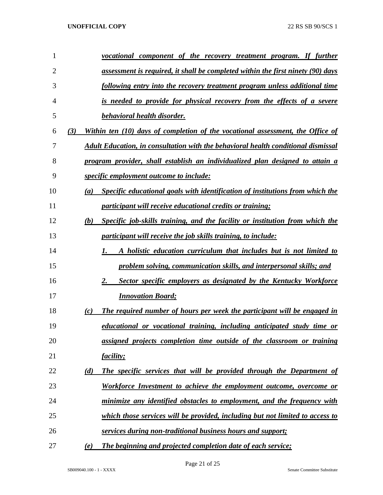| 1              |     | vocational component of the recovery treatment program. If further                |
|----------------|-----|-----------------------------------------------------------------------------------|
| $\overline{2}$ |     | assessment is required, it shall be completed within the first ninety (90) days   |
| 3              |     | following entry into the recovery treatment program unless additional time        |
| 4              |     | is needed to provide for physical recovery from the effects of a severe           |
| 5              |     | behavioral health disorder.                                                       |
| 6              | (3) | Within ten (10) days of completion of the vocational assessment, the Office of    |
| 7              |     | Adult Education, in consultation with the behavioral health conditional dismissal |
| 8              |     | program provider, shall establish an individualized plan designed to attain a     |
| 9              |     | <i>specific employment outcome to include:</i>                                    |
| 10             | (a) | Specific educational goals with identification of institutions from which the     |
| 11             |     | <i>participant will receive educational credits or training;</i>                  |
| 12             | (b) | Specific job-skills training, and the facility or institution from which the      |
| 13             |     | participant will receive the job skills training, to include:                     |
| 14             |     | A holistic education curriculum that includes but is not limited to<br>1.         |
| 15             |     | problem solving, communication skills, and interpersonal skills; and              |
| 16             |     | 2.<br>Sector specific employers as designated by the Kentucky Workforce           |
| 17             |     | <b>Innovation Board;</b>                                                          |
| 18             | (c) | The required number of hours per week the participant will be engaged in          |
| 19             |     | educational or vocational training, including anticipated study time or           |
| 20             |     | assigned projects completion time outside of the classroom or training            |
| 21             |     | <i>facility;</i>                                                                  |
| 22             | (d) | The specific services that will be provided through the Department of             |
| 23             |     | Workforce Investment to achieve the employment outcome, overcome or               |
| 24             |     | minimize any identified obstacles to employment, and the frequency with           |
| 25             |     | which those services will be provided, including but not limited to access to     |
| 26             |     | services during non-traditional business hours and support;                       |
| 27             | (e) | The beginning and projected completion date of each service;                      |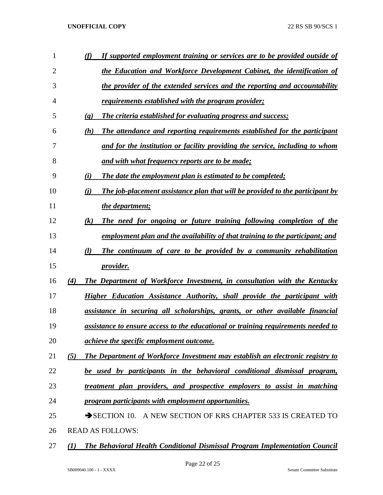| 1  |                             | If supported employment training or services are to be provided outside of        |
|----|-----------------------------|-----------------------------------------------------------------------------------|
| 2  |                             | the Education and Workforce Development Cabinet, the identification of            |
| 3  |                             | the provider of the extended services and the reporting and accountability        |
| 4  |                             | requirements established with the program provider;                               |
| 5  | $\left( \mathbf{g} \right)$ | <b>The criteria established for evaluating progress and success;</b>              |
| 6  | (h)                         | The attendance and reporting requirements established for the participant         |
| 7  |                             | and for the institution or facility providing the service, including to whom      |
| 8  |                             | <u>and with what frequency reports are to be made;</u>                            |
| 9  | (i)                         | The date the employment plan is estimated to be completed;                        |
| 10 | (i)                         | The job-placement assistance plan that will be provided to the participant by     |
| 11 |                             | the department;                                                                   |
| 12 | $\left( k\right)$           | The need for ongoing or future training following completion of the               |
| 13 |                             | employment plan and the availability of that training to the participant; and     |
| 14 | (l)                         | The continuum of care to be provided by a community rehabilitation                |
| 15 |                             | provider.                                                                         |
| 16 | (4)                         | <b>The Department of Workforce Investment, in consultation with the Kentucky</b>  |
| 17 |                             | Higher Education Assistance Authority, shall provide the participant with         |
| 18 |                             | assistance in securing all scholarships, grants, or other available financial     |
| 19 |                             | assistance to ensure access to the educational or training requirements needed to |
| 20 |                             | <i>achieve the specific employment outcome.</i>                                   |
| 21 | (5)                         | The Department of Workforce Investment may establish an electronic registry to    |
| 22 |                             | be used by participants in the behavioral conditional dismissal program,          |
| 23 |                             | treatment plan providers, and prospective employers to assist in matching         |
| 24 |                             | program participants with employment opportunities.                               |
| 25 |                             | SECTION 10. A NEW SECTION OF KRS CHAPTER 533 IS CREATED TO                        |
| 26 |                             | <b>READ AS FOLLOWS:</b>                                                           |
|    |                             |                                                                                   |

*(1) The Behavioral Health Conditional Dismissal Program Implementation Council*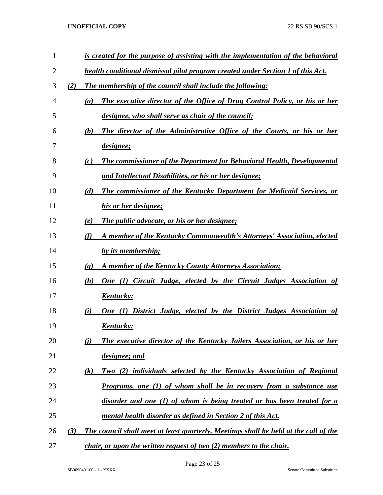| 1  |     | is created for the purpose of assisting with the implementation of the behavioral        |
|----|-----|------------------------------------------------------------------------------------------|
| 2  |     | health conditional dismissal pilot program created under Section 1 of this Act.          |
| 3  | (2) | The membership of the council shall include the following:                               |
| 4  |     | <b>The executive director of the Office of Drug Control Policy, or his or her</b><br>(a) |
| 5  |     | designee, who shall serve as chair of the council;                                       |
| 6  |     | The director of the Administrative Office of the Courts, or his or her<br>(b)            |
| 7  |     | designee;                                                                                |
| 8  |     | <b>The commissioner of the Department for Behavioral Health, Developmental</b><br>(c)    |
| 9  |     | <u>and Intellectual Disabilities, or his or her designee;</u>                            |
| 10 |     | <b>The commissioner of the Kentucky Department for Medicaid Services, or</b><br>(d)      |
| 11 |     | his or her designee;                                                                     |
| 12 |     | (e)<br><b>The public advocate, or his or her designee;</b>                               |
| 13 |     | (f)<br>A member of the Kentucky Commonwealth's Attorneys' Association, elected           |
| 14 |     | by its membership;                                                                       |
| 15 |     | A member of the Kentucky County Attorneys Association;<br>$\left( \mathbf{g} \right)$    |
| 16 |     | <b>One (1) Circuit Judge, elected by the Circuit Judges Association of</b><br>(h)        |
| 17 |     | <u>Kentucky;</u>                                                                         |
| 18 |     | One (1) District Judge, elected by the District Judges Association of<br>(i)             |
| 19 |     | <u>Kentucky;</u>                                                                         |
| 20 |     | <b>The executive director of the Kentucky Jailers Association, or his or her</b><br>(i)  |
| 21 |     | designee; and                                                                            |
| 22 |     | Two (2) individuals selected by the Kentucky Association of Regional<br>(k)              |
| 23 |     | <u>Programs, one (1) of whom shall be in recovery from a substance use</u>               |
| 24 |     | disorder and one (1) of whom is being treated or has been treated for a                  |
| 25 |     | mental health disorder as defined in Section 2 of this Act.                              |
| 26 | (3) | The council shall meet at least quarterly. Meetings shall be held at the call of the     |
| 27 |     | <i>chair, or upon the written request of two (2) members to the chair.</i>               |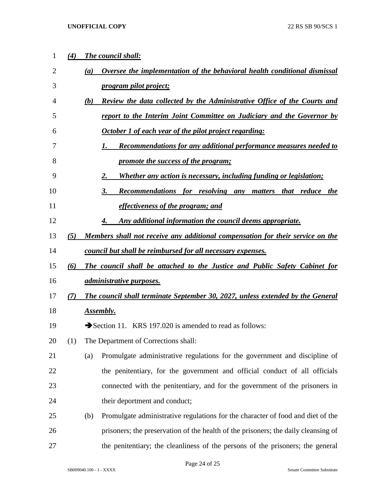| 1              | (4) | The council shall:                                                                     |
|----------------|-----|----------------------------------------------------------------------------------------|
| $\overline{2}$ |     | Oversee the implementation of the behavioral health conditional dismissal<br>(a)       |
| 3              |     | program pilot project;                                                                 |
| 4              |     | <b>Review the data collected by the Administrative Office of the Courts and</b><br>(b) |
| 5              |     | report to the Interim Joint Committee on Judiciary and the Governor by                 |
| 6              |     | October 1 of each year of the pilot project regarding:                                 |
| 7              |     | <b>Recommendations for any additional performance measures needed to</b><br>1.         |
| 8              |     | promote the success of the program;                                                    |
| 9              |     | Whether any action is necessary, including funding or legislation;<br>2.               |
| 10             |     | 3.<br>Recommendations for resolving any matters that reduce the                        |
| 11             |     | effectiveness of the program; and                                                      |
| 12             |     | Any additional information the council deems appropriate.<br>4.                        |
| 13             | (5) | Members shall not receive any additional compensation for their service on the         |
| 14             |     | council but shall be reimbursed for all necessary expenses.                            |
| 15             | (6) | The council shall be attached to the Justice and Public Safety Cabinet for             |
| 16             |     | <i><u>administrative purposes.</u></i>                                                 |
| 17             | (7) | The council shall terminate September 30, 2027, unless extended by the General         |
| 18             |     | Assembly.                                                                              |
| 19             |     | Section 11. KRS 197.020 is amended to read as follows:                                 |
| 20             | (1) | The Department of Corrections shall:                                                   |
| 21             |     | Promulgate administrative regulations for the government and discipline of<br>(a)      |
| 22             |     | the penitentiary, for the government and official conduct of all officials             |
| 23             |     | connected with the penitentiary, and for the government of the prisoners in            |
| 24             |     | their deportment and conduct;                                                          |
| 25             |     | Promulgate administrative regulations for the character of food and diet of the<br>(b) |
| 26             |     | prisoners; the preservation of the health of the prisoners; the daily cleansing of     |
| 27             |     | the penitentiary; the cleanliness of the persons of the prisoners; the general         |